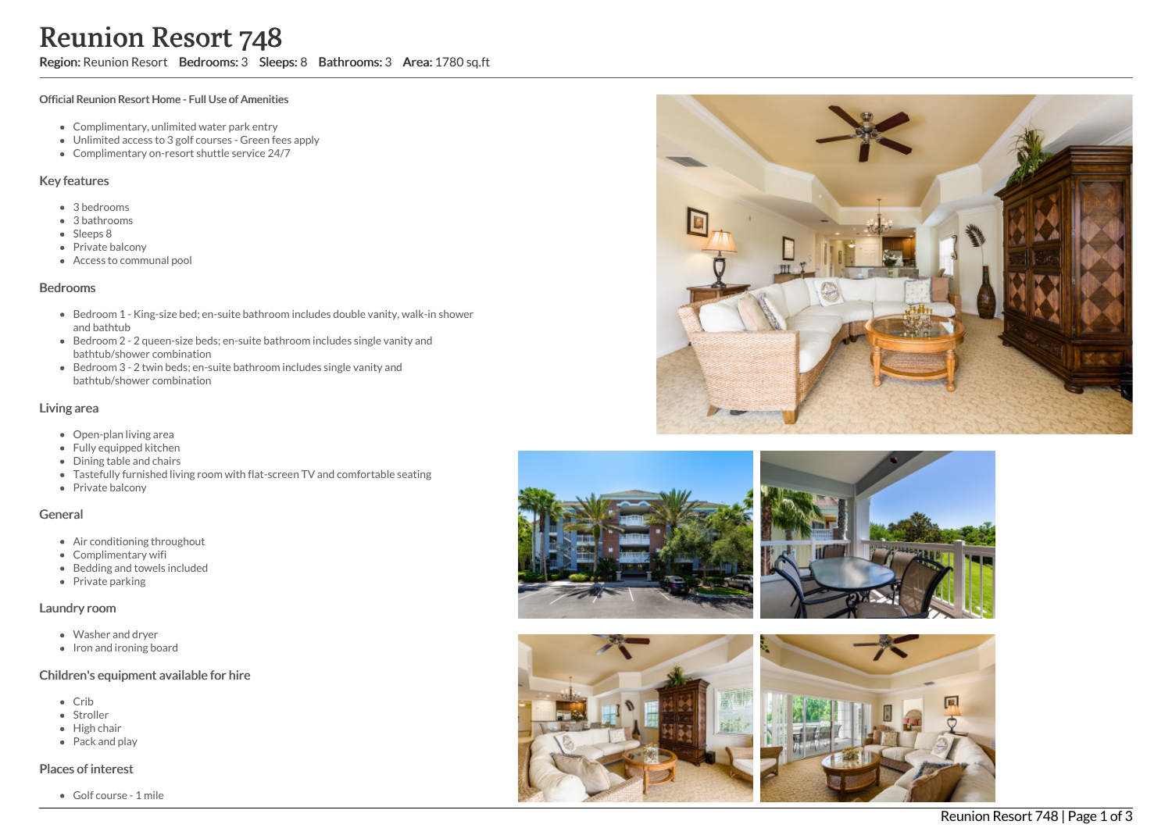# Reunion Resort 748

Region: Reunion Resort Bedrooms: 3 Sleeps: 8 Bathrooms: 3 Area: 1780 sq.ft

#### Official Reunion Resort Home - Full Use of Amenities

- Complimentary, unlimited water park entry
- Unlimited access to 3 golf courses Green fees apply
- Complimentary on-resort shuttle service 24/7

# Key features

- 3 bedrooms
- 3 bathrooms
- Sleeps 8
- Private balcony
- Access to communal pool

# Bedrooms

- Bedroom 1 King-size bed; en-suite bathroom includes double vanity, walk-in shower and bathtub
- Bedroom 2 2 queen-size beds; en-suite bathroom includes single vanity and bathtub/shower combination
- Bedroom 3 2 twin beds; en-suite bathroom includes single vanity and bathtub/shower combination

# Living area

- Open-plan living area
- Fully equipped kitchen
- Dining table and chairs
- Tastefully furnished living room with flat-screen TV and comfortable seating
- Private balcony

#### General

- Air conditioning throughout
- Complimentary wifi
- Bedding and towels included
- Private parking

# Laundry room

- Washer and dryer
- Iron and ironing board

# Children's equipment available for hire

- Crib
- Stroller
- High chair
- Pack and play

# Places of interest

Golf course - 1 mile









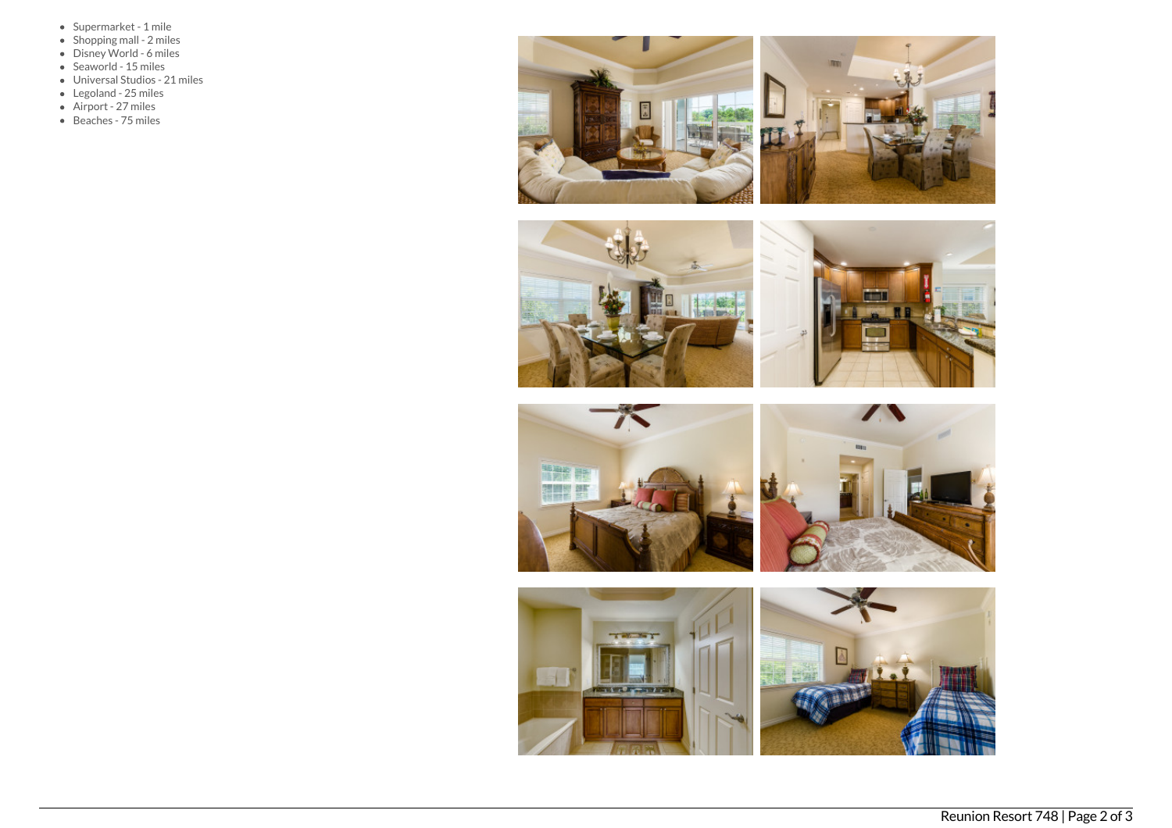- Supermarket 1 mile
- Shopping mall 2 miles
- Disney World 6 miles
- Seaworld 15 miles
- Universal Studios 21 miles
- Legoland 25 miles
- Airport 27 miles
- Beaches 75 miles